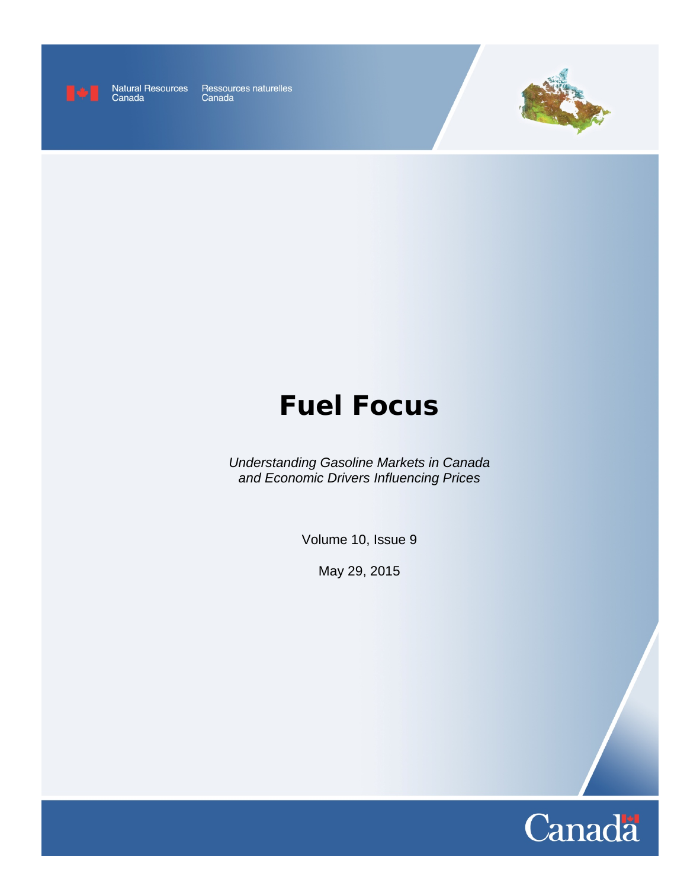

Natural Resources Ressources naturelles<br>Canada Canada



# **Fuel Focus**

*Understanding Gasoline Markets in Canada and Economic Drivers Influencing Prices*

Volume 10, Issue 9

May 29, 2015

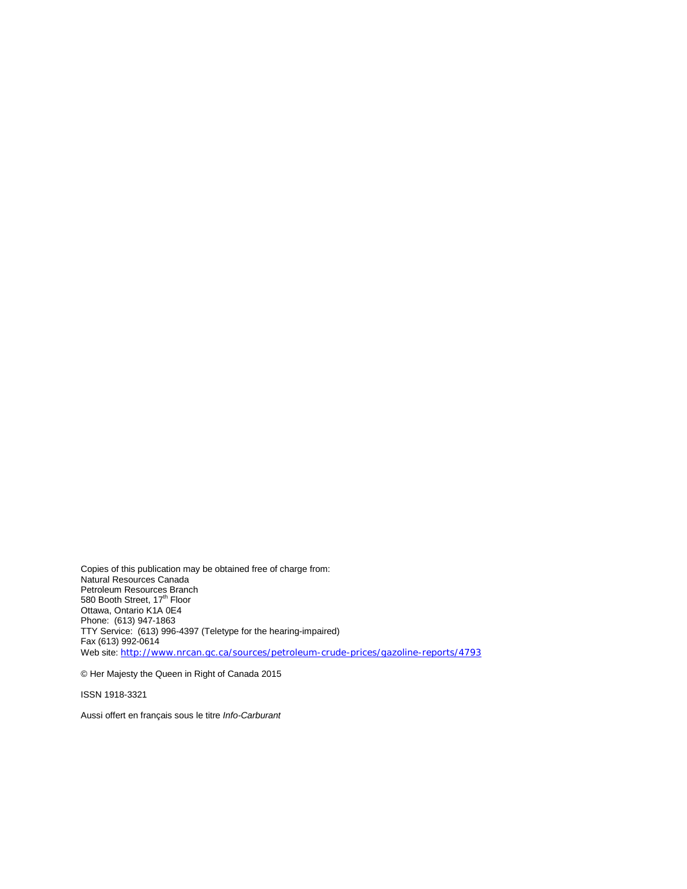Copies of this publication may be obtained free of charge from: Natural Resources Canada Petroleum Resources Branch 580 Booth Street, 17<sup>th</sup> Floor Ottawa, Ontario K1A 0E4 Phone: (613) 947-1863 TTY Service: (613) 996-4397 (Teletype for the hearing-impaired) Fax (613) 992-0614 Web site: <http://www.nrcan.gc.ca/sources/petroleum-crude-prices/gazoline-reports/4793>

© Her Majesty the Queen in Right of Canada 2015

ISSN 1918-3321

Aussi offert en français sous le titre *Info-Carburant*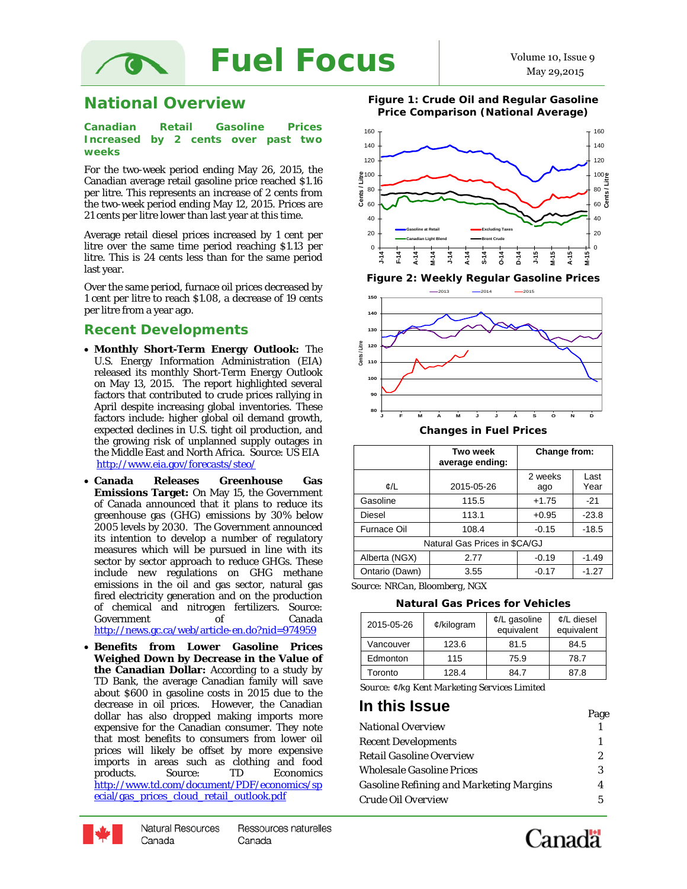

### **National Overview**

#### **Canadian Retail Gasoline Prices Increased by 2 cents over past two weeks**

For the two-week period ending May 26, 2015, the Canadian average retail gasoline price reached \$1.16 per litre. This represents an increase of 2 cents from the two-week period ending May 12, 2015. Prices are 21 cents per litre lower than last year at this time.

Average retail diesel prices increased by 1 cent per litre over the same time period reaching \$1.13 per litre. This is 24 cents less than for the same period last year.

Over the same period, furnace oil prices decreased by 1 cent per litre to reach \$1.08, a decrease of 19 cents per litre from a year ago.

### *Recent Developments*

- **Monthly Short-Term Energy Outlook:** The U.S. Energy Information Administration (EIA) released its monthly Short-Term Energy Outlook on May 13, 2015. The report highlighted several factors that contributed to crude prices rallying in April despite increasing global inventories. These factors include: higher global oil demand growth, expected declines in U.S. tight oil production, and the growing risk of unplanned supply outages in the Middle East and North Africa. Source: US EIA <http://www.eia.gov/forecasts/steo/>
- **Canada Releases Greenhouse Gas Emissions Target:** On May 15, the Government of Canada announced that it plans to reduce its greenhouse gas (GHG) emissions by 30% below 2005 levels by 2030. The Government announced its intention to develop a number of regulatory measures which will be pursued in line with its sector by sector approach to reduce GHGs. These include new regulations on GHG methane emissions in the oil and gas sector, natural gas fired electricity generation and on the production of chemical and nitrogen fertilizers. Source: Government of Canada <http://news.gc.ca/web/article-en.do?nid=974959>
- **Benefits from Lower Gasoline Prices Weighed Down by Decrease in the Value of the Canadian Dollar:** According to a study by TD Bank, the average Canadian family will save about \$600 in gasoline costs in 2015 due to the decrease in oil prices. However, the Canadian dollar has also dropped making imports more expensive for the Canadian consumer. They note that most benefits to consumers from lower oil prices will likely be offset by more expensive imports in areas such as clothing and food products. Source: TD Economics TD Economics [http://www.td.com/document/PDF/economics/sp](http://www.td.com/document/PDF/economics/special/gas_prices_cloud_retail_outlook.pdf) [ecial/gas\\_prices\\_cloud\\_retail\\_outlook.pdf](http://www.td.com/document/PDF/economics/special/gas_prices_cloud_retail_outlook.pdf)

**Figure 1: Crude Oil and Regular Gasoline Price Comparison (National Average)**





|                               | Two week<br>average ending: | Change from:                   |         |  |  |  |
|-------------------------------|-----------------------------|--------------------------------|---------|--|--|--|
| ¢/L                           | 2015-05-26                  | 2 weeks<br>Last<br>Year<br>ago |         |  |  |  |
| Gasoline                      | 115.5                       | $+1.75$                        | $-21$   |  |  |  |
| <b>Diesel</b>                 | 113.1                       | $+0.95$                        | $-23.8$ |  |  |  |
| <b>Furnace Oil</b>            | 108.4                       | $-0.15$                        | $-18.5$ |  |  |  |
| Natural Gas Prices in \$CA/GJ |                             |                                |         |  |  |  |
| Alberta (NGX)                 | 2.77                        | $-0.19$                        | $-1.49$ |  |  |  |
| Ontario (Dawn)                | 3.55                        | $-0.17$                        | $-1.27$ |  |  |  |

*Source: NRCan, Bloomberg, NGX*

**Natural Gas Prices for Vehicles**

| 2015-05-26 | $¢$ /kilogram | $\mathcal{L}/L$ gasoline<br>equivalent | $\mathcal{L}/L$ diesel<br>equivalent |  |
|------------|---------------|----------------------------------------|--------------------------------------|--|
| Vancouver  | 123.6         | 81.5                                   | 84.5                                 |  |
| Edmonton   | 115           | 75.9                                   | 78.7                                 |  |
| Toronto    | 128.4         | 84.7                                   | 87.8                                 |  |

 *Source:* ¢/kg *Kent Marketing Services Limited*

### **In this Issue** Page

|                                                | 1 ust |
|------------------------------------------------|-------|
| National Overview                              |       |
| <i><b>Recent Developments</b></i>              |       |
| Retail Gasoline Overview                       | 2     |
| <i><b>Wholesale Gasoline Prices</b></i>        | 3     |
| <i>Gasoline Refining and Marketing Margins</i> |       |
| Crude Oil Overview                             | 5     |

Canadä



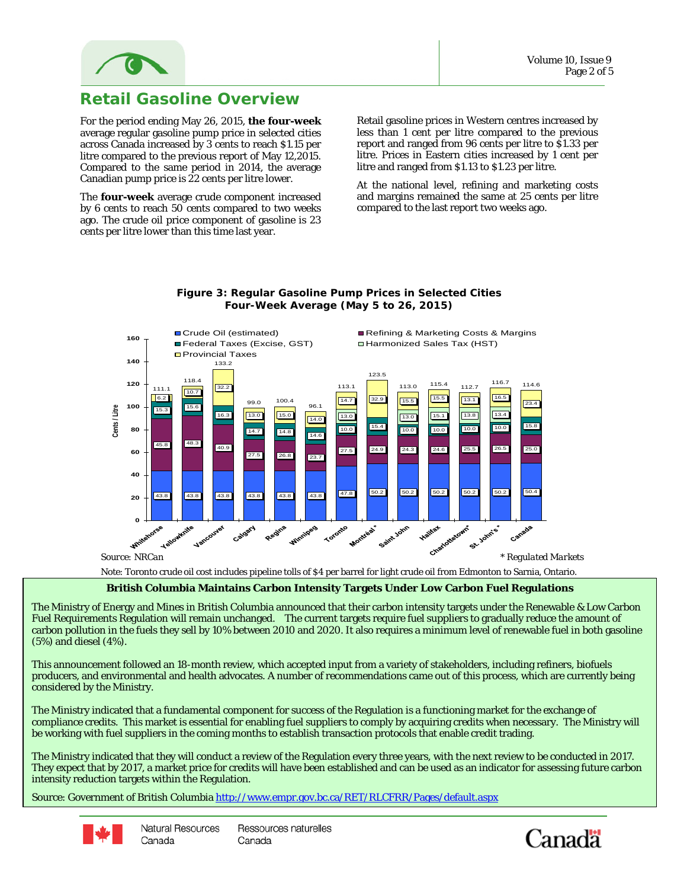

### **Retail Gasoline Overview**

For the period ending May 26, 2015, **the four-week** average regular gasoline pump price in selected cities across Canada increased by 3 cents to reach \$1.15 per litre compared to the previous report of May 12,2015. Compared to the same period in 2014, the average Canadian pump price is 22 cents per litre lower.

The **four-week** average crude component increased by 6 cents to reach 50 cents compared to two weeks ago. The crude oil price component of gasoline is 23 cents per litre lower than this time last year.

Retail gasoline prices in Western centres increased by less than 1 cent per litre compared to the previous report and ranged from 96 cents per litre to \$1.33 per litre. Prices in Eastern cities increased by 1 cent per litre and ranged from \$1.13 to \$1.23 per litre.

At the national level, refining and marketing costs and margins remained the same at 25 cents per litre compared to the last report two weeks ago.



#### **Figure 3: Regular Gasoline Pump Prices in Selected Cities Four-Week Average (May 5 to 26, 2015)**

Note: Toronto crude oil cost includes pipeline tolls of \$4 per barrel for light crude oil from Edmonton to Sarnia, Ontario.

**British Columbia Maintains Carbon Intensity Targets Under Low Carbon Fuel Regulations**

The Ministry of Energy and Mines in British Columbia announced that their carbon intensity targets under the Renewable & Low Carbon Fuel Requirements Regulation will remain unchanged. The current targets require fuel suppliers to gradually reduce the amount of carbon pollution in the fuels they sell by 10% between 2010 and 2020. It also requires a minimum level of renewable fuel in both gasoline (5%) and diesel (4%).

This announcement followed an 18-month review, which accepted input from a variety of stakeholders, including refiners, biofuels producers, and environmental and health advocates. A number of recommendations came out of this process, which are currently being considered by the Ministry.

The Ministry indicated that a fundamental component for success of the Regulation is a functioning market for the exchange of compliance credits. This market is essential for enabling fuel suppliers to comply by acquiring credits when necessary. The Ministry will be working with fuel suppliers in the coming months to establish transaction protocols that enable credit trading.

The Ministry indicated that they will conduct a review of the Regulation every three years, with the next review to be conducted in 2017. They expect that by 2017, a market price for credits will have been established and can be used as an indicator for assessing future carbon intensity reduction targets within the Regulation.

Source: Government of British Columbi[a http://www.empr.gov.bc.ca/RET/RLCFRR/Pages/default.aspx](http://www.empr.gov.bc.ca/RET/RLCFRR/Pages/default.aspx)



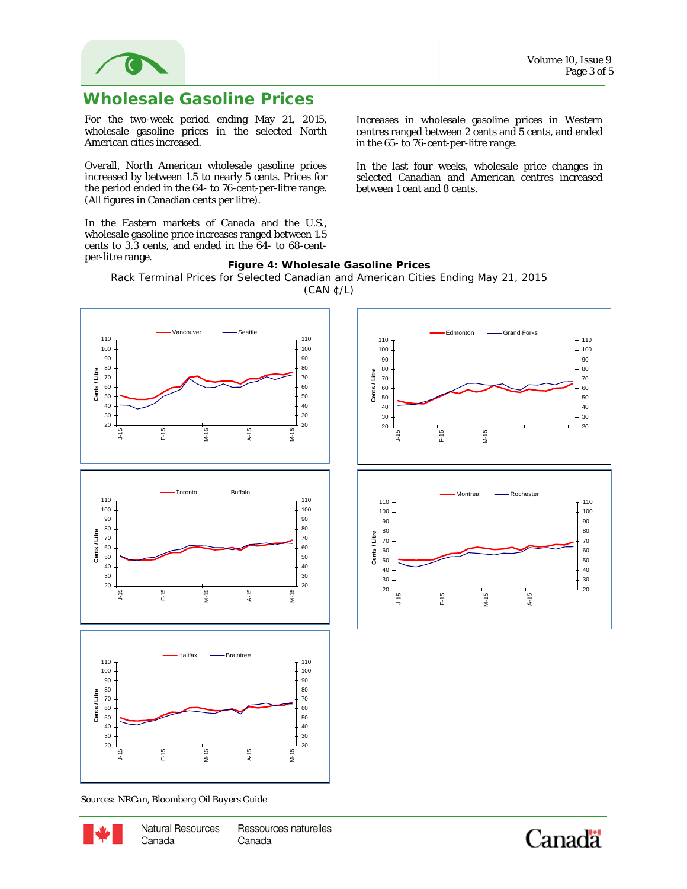

### **Wholesale Gasoline Prices**

For the two-week period ending May 21, 2015, wholesale gasoline prices in the selected North American cities increased.

Overall, North American wholesale gasoline prices increased by between 1.5 to nearly 5 cents. Prices for the period ended in the 64- to 76-cent-per-litre range. (All figures in Canadian cents per litre).

In the Eastern markets of Canada and the U.S., wholesale gasoline price increases ranged between 1.5 cents to 3.3 cents, and ended in the 64- to 68-centper-litre range.

Increases in wholesale gasoline prices in Western centres ranged between 2 cents and 5 cents, and ended in the 65- to 76-cent-per-litre range.

In the last four weeks, wholesale price changes in selected Canadian and American centres increased between 1 cent and 8 cents.

#### **Figure 4: Wholesale Gasoline Prices** Rack Terminal Prices for Selected Canadian and American Cities Ending May 21, 2015 (CAN ¢/L)



 *Sources: NRCan, Bloomberg Oil Buyers Guide*



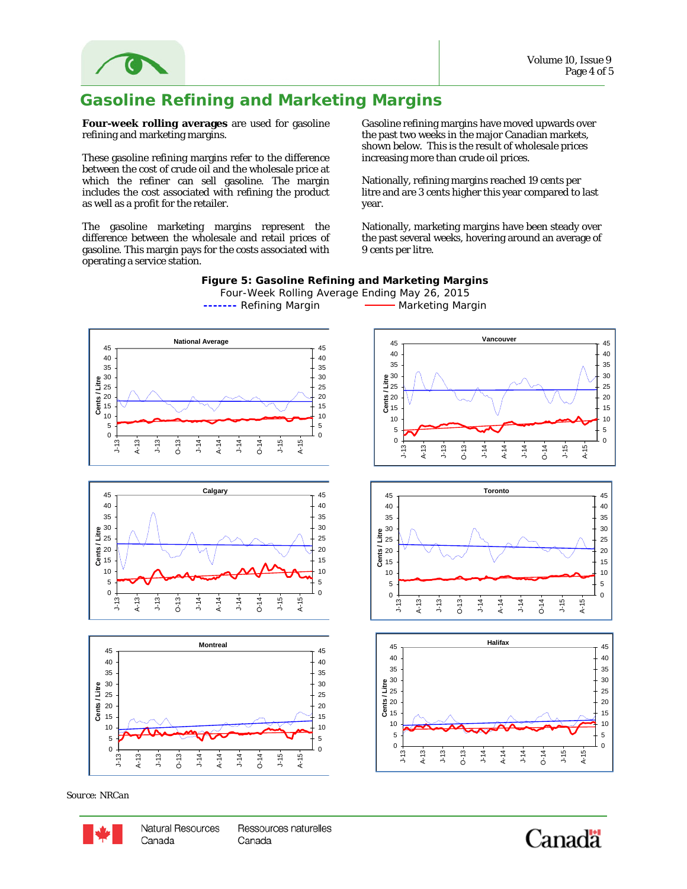

## **Gasoline Refining and Marketing Margins**

**Four-week rolling averages** are used for gasoline refining and marketing margins.

These gasoline refining margins refer to the difference between the cost of crude oil and the wholesale price at which the refiner can sell gasoline. The margin includes the cost associated with refining the product as well as a profit for the retailer.

The gasoline marketing margins represent the difference between the wholesale and retail prices of gasoline. This margin pays for the costs associated with operating a service station.

Gasoline refining margins have moved upwards over the past two weeks in the major Canadian markets, shown below. This is the result of wholesale prices increasing more than crude oil prices.

Nationally, refining margins reached 19 cents per litre and are 3 cents higher this year compared to last year.

Nationally, marketing margins have been steady over the past several weeks, hovering around an average of 9 cents per litre.



*Source: NRCan*

Canada

#### **Natural Resources** Ressources naturelles Canada

Canadä